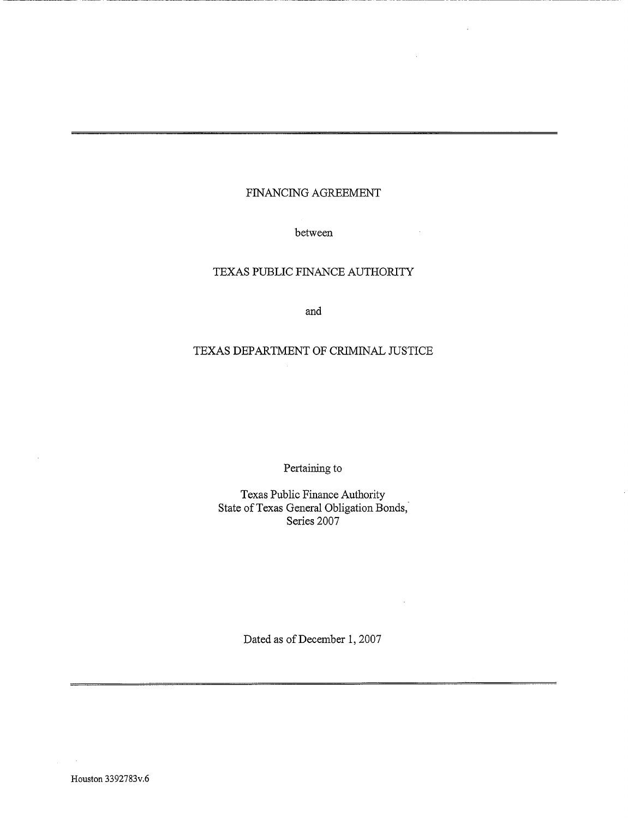# FINANCING AGREEMENT

between

# TEXAS PUBLIC FINANCE AUTHORITY

and

# TEXAS DEPARTMENT OF CRIMINAL JUSTICE

Pertaining to

Texas Public Finance Authority State of Texas General Obligation Bonds, Series 2007

Dated as of December 1, 2007

Houston 3392783v.6

à.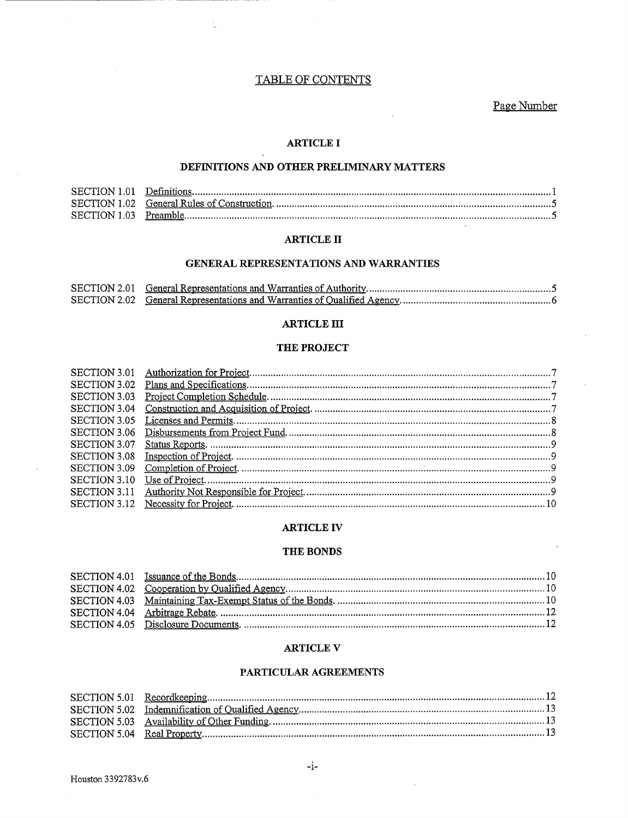# TABLE OF CONTENTS

t

Page Number

# **ARTICLE I**

 $\mathcal{L}$ 

#### DEFINITIONS AND OTHER PRELIMINARY MATTERS

## **ARTICLE II**

#### GENERAL REPRESENTATIONS AND WARRANTIES

#### **ARTICLE III**

#### THE PROJECT

#### **ARTICLE IV**

#### THE BONDS

#### **ARTICLE V**

#### PARTICULAR AGREEMENTS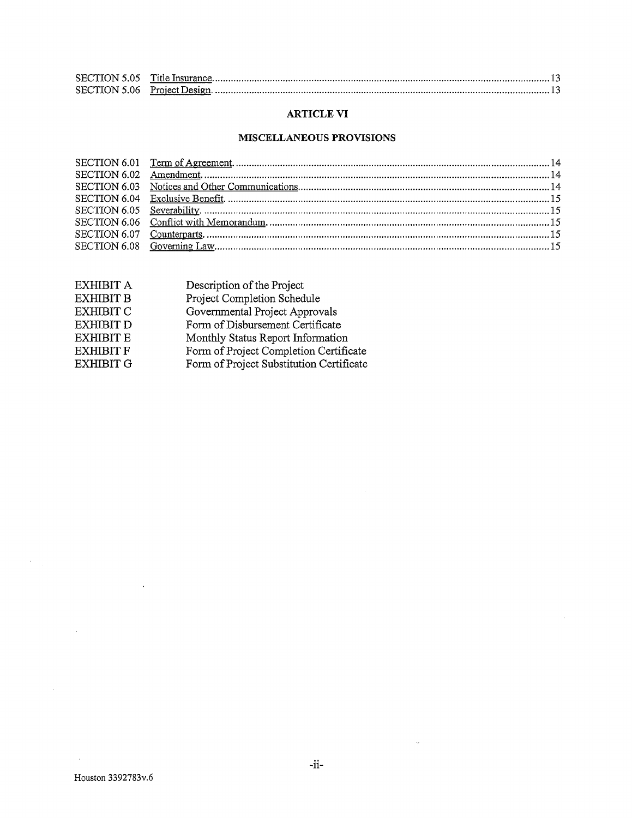# ARTICLE VI

# MISCELLANEOUS PROVISIONS

| EXHIBIT A        | Description of the Project               |
|------------------|------------------------------------------|
| <b>EXHIBIT B</b> | Project Completion Schedule              |
| EXHIBIT C        | Governmental Project Approvals           |
| <b>EXHIBIT D</b> | Form of Disbursement Certificate         |
| <b>EXHIBIT E</b> | Monthly Status Report Information        |
| <b>EXHIBIT F</b> | Form of Project Completion Certificate   |
| <b>EXHIBIT G</b> | Form of Project Substitution Certificate |
|                  |                                          |

 $\sim 10^{-1}$ 

 $\hat{A}$ 

 $\sim 100$ 

 $\sim 10^{-11}$ 

 $\hat{\mathcal{L}}$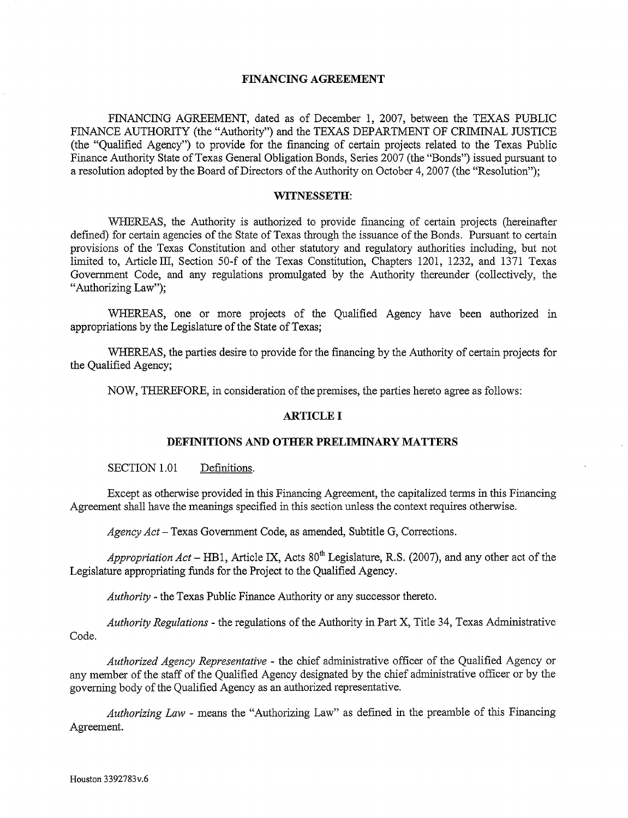## FINANCING AGREEMENT

FINANCING AGREEMENT, dated as of December 1, 2007, between the TEXAS PUBLIC FINANCE AUTHORITY (the "Authority") and the TEXAS DEPARTMENT OF CRIMINAL JUSTICE (the "Qualified Agency") to provide for the financing of certain projects related to the Texas Public Finance Authority State of Texas General Obligation Bonds, Series 2007 (the "Bonds") issued pursuant to a resolution adopted by the Board of Directors of the Authority on October 4, 2007 (the "Resolution");

#### WITNESSETH:

WHEREAS, the Authority is authorized to provide financing of certain projects (hereinafter defined) for certain agencies of the State of Texas through the issuance of the Bonds. Pursuant to certain provisions of the Texas Constitution and other statutory and regulatory authorities including, but not limited to, Article III, Section 50-f of the Texas Constitution, Chapters 1201, 1232, and 1371 Texas Government Code, and any regulations promulgated by the Authority thereunder (collectively, the "Authorizing Law");

WHEREAS, one or more projects of the Qualified Agency have been authorized in appropriations by the Legislature of the State of Texas;

WHEREAS, the parties desire to provide for the financing by the Authority of certain projects for the Qualified Agency;

NOW, THEREFORE, in consideration of the premises, the parties hereto agree as follows:

## ARTICLE I

#### DEFINITIONS AND OTHER PRELIMINARY MATTERS

SECTION 1.01 Definitions.

Except as otherwise provided in this Financing Agreement, the capitalized terms in this Financing Agreement shall have the meanings specified in this section unless the context requires otherwise.

*Agency Act-* Texas Government Code, as amended, Subtitle G, Corrections.

*Appropriation Act* – HB1, Article IX, Acts  $80<sup>th</sup>$  Legislature, R.S. (2007), and any other act of the Legislature appropriating funds for the Project to the Qualified Agency.

*Authority* - the Texas Public Finance Authority or any successor thereto.

*Authority Regulations* - the regulations of the Authority in Part X, Title 34, Texas Administrative Code.

*Authorized Agency Representative* - the chief administrative officer of the Qualified Agency or any member of the staff of the Qualified Agency designated by the chief administrative officer or by the governing body of the Qualified Agency as an authorized representative.

*Authorizing Law* - means the "Authorizing Law" as defmed in the preamble of this Financing Agreement.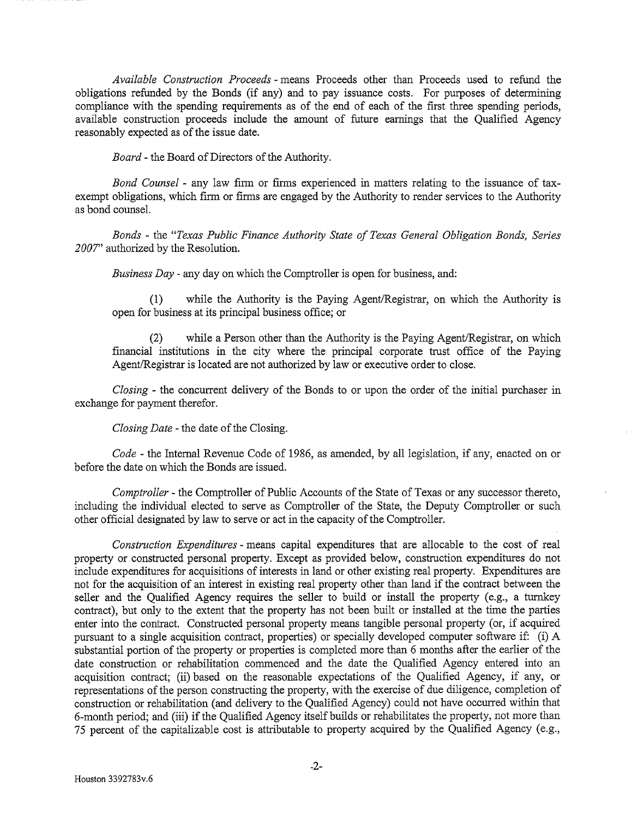*Available Construction Proceeds* - means Proceeds other than Proceeds used to refund the obligations refunded by the Bonds (if any) and to pay issuance costs. For purposes of determining compliance with the spending requirements as of the end of each of the first three spending periods, available construction proceeds include the amount of future earnings that the Qualified Agency reasonably expected as of the issue date.

*Board-* the Board of Directors of the Authority.

*Bond Counsel* - any law firm or firms experienced in matters relating to the issuance of taxexempt obligations, which firm or firms are engaged by the Authority to render services to the Authority as bond counsel.

*Bonds* - the *"Texas Public Finance Authority State of Texas General Obligation Bonds, Series 2007''* authorized by the Resolution.

*Business Day* - any day on which the Comptroller is open for business, and:

(1) while the Authority is the Paying Agent/Registrar, on which the Authority is open for business at its principal business office; or

(2) while a Person other than the Authority is the Paying Agent/Registrar, on which financial institutions in the city where the principal corporate trust office of the Paying Agent/Registrar is located are not authorized by law or executive order to close.

*Closing* - the concurrent delivery of the Bonds to or upon the order of the initial purchaser in exchange for payment therefor.

*Closing Date* - the date of the Closing.

*Code-* the Internal Revenue Code of 1986, as amended, by all legislation, if any, enacted on or before the date on which the Bonds are issued.

*Comptroller* - the Comptroller of Public Accounts of the State of Texas or any successor thereto, including the individual elected to serve as Comptroller of the State, the Deputy Comptroller or such other official designated by law to serve or act in the capacity of the Comptroller.

*Construction Expenditures* - means capital expenditures that are allocable to the cost of real property or constructed personal property. Except as provided below, construction expenditures do not include expenditures for acquisitions of interests in land or other existing real property. Expenditures are not for the acquisition of an interest in existing real property other than land if the contract between the seller and the Qualified Agency requires the seller to build or install the property (e.g., a turnkey contract), but only to the extent that the property has not been built or installed at the time the parties enter into the contract. Constructed personal property means tangible personal property (or, if acquired pursuant to a single acquisition contract, properties) or specially developed computer software if: (i) A substantial portion of the property or properties is completed more than 6 months after the earlier of the date construction or rehabilitation commenced and the date the Qualified Agency entered into an acquisition contract; (ii) based on the reasonable expectations of the Qualified Agency, if any, or representations of the person constructing the property, with the exercise of due diligence, completion of construction or rehabilitation (and delivery to the Qualified Agency) could not have occurred within that 6-month period; and (iii) if the Qualified Agency itself builds or rehabilitates the property, not more than 75 percent of the capitalizable cost is attributable to property acquired by the Qualified Agency (e.g.,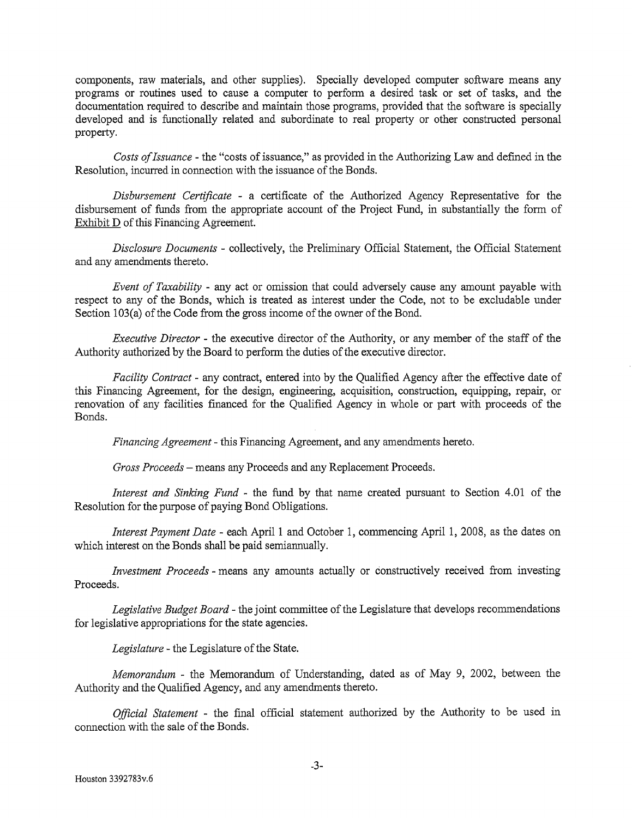components, raw materials, and other supplies). Specially developed computer software means any programs or routines used to cause a computer to perform a desired task or set of tasks, and the documentation required to describe and maintain those programs, provided that the software is specially developed and is functionally related and subordinate to real property or other constructed personal property.

*Costs of Issuance* - the "costs of issuance," as provided in the Authorizing Law and defmed in the Resolution, incurred in connection with the issuance of the Bonds.

*Disbursement Certificate* - a certificate of the Authorized Agency Representative for the disbursement of funds from the appropriate account of the Project Fund, in substantially the form of Exhibit D of this Financing Agreement.

*Disclosure Documents* - collectively, the Preliminary Official Statement, the Official Statement and any amendments thereto.

*Event of Taxability* - any act or omission that could adversely cause any amount payable with respect to any of the Bonds, which is treated as interest under the Code, not to be excludable under Section 103(a) of the Code from the gross income of the owner of the Bond.

*Executive Director* - the executive director of the Authority, or any member of the staff of the Authority authorized by the Board to perform the duties of the executive director.

*Facility Contract-* any contract, entered into by the Qualified Agency after the effective date of this Financing Agreement, for the design, engineering, acquisition, construction, equipping, repair, or renovation of any facilities financed for the Qualified Agency in whole or part with proceeds of the Bonds.

*Financing Agreement-* this Financing Agreement, and any amendments hereto.

*Gross Proceeds-* means any Proceeds and any Replacement Proceeds.

*Interest and Sinking Fund* - the fund by that name created pursuant to Section 4.01 of the Resolution for the purpose of paying Bond Obligations.

*Interest Payment Date* - each April 1 and October 1, commencing April 1, 2008, as the dates on which interest on the Bonds shall be paid semiannually.

*Investment Proceeds-* means any amounts actually or constructively received from investing Proceeds.

*Legislative Budget Board-* the joint committee of the Legislature that develops recommendations for legislative appropriations for the state agencies.

*Legislature-* the Legislature of the State.

*Memorandum* - the Memorandum of Understanding, dated as of May 9, 2002, between the Authority and the Qualified Agency, and any amendments thereto.

*Official Statement* - the final official statement authorized by the Authority to be used in connection with the sale of the Bonds.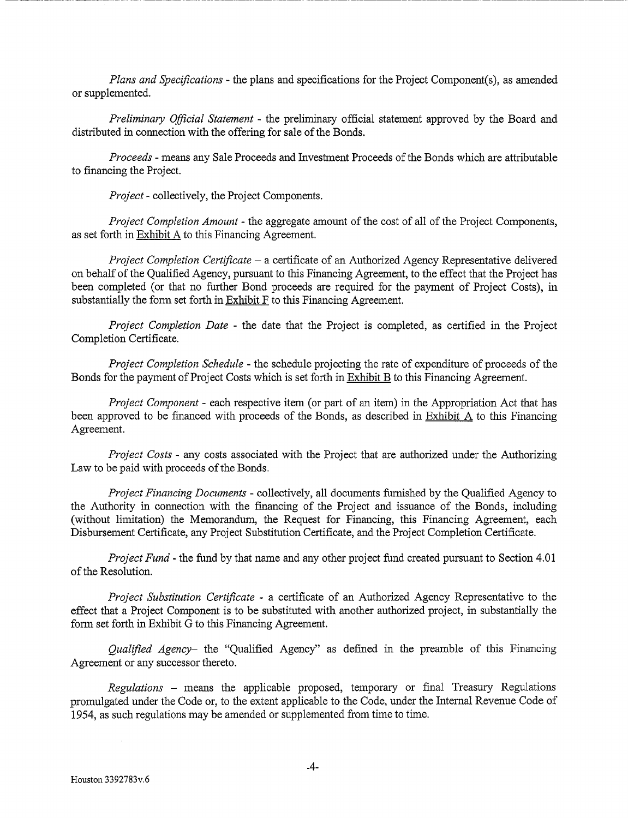*Plans and Specifications-* the plans and specifications for the Project Component(s), as amended or supplemented.

*Preliminary Official Statement* - the preliminary official statement approved by the Board and distributed in connection with the offering for sale of the Bonds.

*Proceeds* - means any Sale Proceeds and Investment Proceeds of the Bonds which are attributable to financing the Project.

*Project-* collectively, the Project Components.

*Project Completion Amount-* the aggregate amount of the cost of all of the Project Components, as set forth in Exhibit A to this Financing Agreement.

*Project Completion Certificate-* a certificate of an Authorized Agency Representative delivered on behalf of the Qualified Agency, pursuant to this Financing Agreement, to the effect that the Project has been completed (or that no further Bond proceeds are required for the payment of Project Costs), in substantially the form set forth in Exhibit F to this Financing Agreement.

*Project Completion Date* - the date that the Project is completed, as certified in the Project Completion Certificate.

*Project Completion Schedule* - the schedule projecting the rate of expenditure of proceeds of the Bonds for the payment of Project Costs which is set forth in Exhibit B to this Financing Agreement.

*Project Component-* each respective item (or part of an item) in the Appropriation Act that has been approved to be financed with proceeds of the Bonds, as described in Exhibit A to this Financing Agreement.

*Project Costs-* any costs associated with the Project that are authorized under the Authorizing Law to be paid with proceeds of the Bonds.

*Project Financing Documents* - collectively, all documents furnished by the Qualified Agency to the Authority in connection with the fmancing of the Project and issuance of the Bonds, including (without limitation) the Memorandum, the Request for Financing, this Financing Agreement, each Disbursement Certificate, any Project Substitution Certificate, and the Project Completion Certificate.

*Project Fund-* the fund by that name and any other project fund created pursuant to Section 4.01 of the Resolution.

*Project Substitution Certificate* - a certificate of an Authorized Agency Representative to the effect that a Project Component is to be substituted with another authorized project, in substantially the form set forth in Exhibit G to this Financing Agreement.

*Qualified Agency-* the "Qualified Agency" as defmed m the preamble of this Financing Agreement or any successor thereto.

*Regulations* - means the applicable proposed, temporary or fmal Treasury Regulations promulgated under the Code or, to the extent applicable to the Code, under the Internal Revenue Code of 1954, as such regulations may be amended or supplemented from time to time.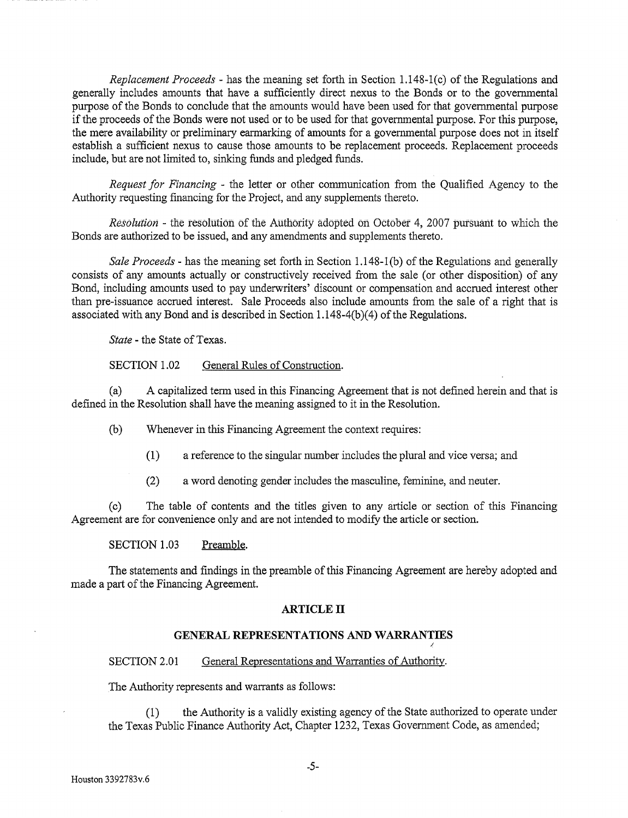*Replacement Proceeds* - has the meaning set forth in Section 1.148-1 (c) of the Regulations and generally includes amounts that have a sufficiently direct nexus to the Bonds or to the governmental purpose of the Bonds to conclude that the amounts would have been used for that governmental purpose if the proceeds of the Bonds were not used or to be used for that governmental purpose. For this purpose, the mere availability or preliminary earmarking of amounts for a governmental purpose does not in itself establish a sufficient nexus to cause those amounts to be replacement proceeds. Replacement proceeds include, but are not limited to, sinking funds and pledged funds.

*Request for Financing* - the letter or other communication from the Qualified Agency to the Authority requesting financing for the Project, and any supplements thereto.

*Resolution* - the resolution of the Authority adopted on October 4, 2007 pursuant to which the Bonds are authorized to be issued, and any amendments and supplements thereto.

*Sale Proceeds-* has the meaning set forth in Section 1.148-1(b) of the Regulations and generally consists of any amounts actually or constructively received from the sale (or other disposition) of any Bond, including amounts used to pay underwriters' discount or compensation and accrued interest other than pre-issuance accrued interest. Sale Proceeds also include amounts from the sale of a right that is associated with any Bond and is described in Section 1.148-4(b)(4) of the Regulations.

*State-* the State of Texas.

# SECTION 1.02 General Rules of Construction.

(a) A capitalized term used in this Financing Agreement that is not defined herein and that is defmed in the Resolution shall have the meaning assigned to it in the Resolution.

(b) Whenever in this Financing Agreement the context requires:

- (1) a reference to the singular number includes the plural and vice versa; and
- (2) a word denoting gender includes the masculine, feminine, and neuter.

(c) The table of contents and the titles given to any article or section of this Financing Agreement are for convenience only and are not intended to modify the article or section.

SECTION 1.03 Preamble.

The statements and findings in the preamble of this Financing Agreement are hereby adopted and made a part of the Financing Agreement.

# **ARTICLE IT**

# **GENERAL REPRESENTATIONS AND WARRANTIES**

## SECTION 2.01 General Representations and Warranties of Authority.

The Authority represents and warrants as follows:

(1) the Authority is a validly existing agency of the State authorized to operate under the Texas Public Finance Authority Act, Chapter 1232, Texas Government Code, as amended;

I.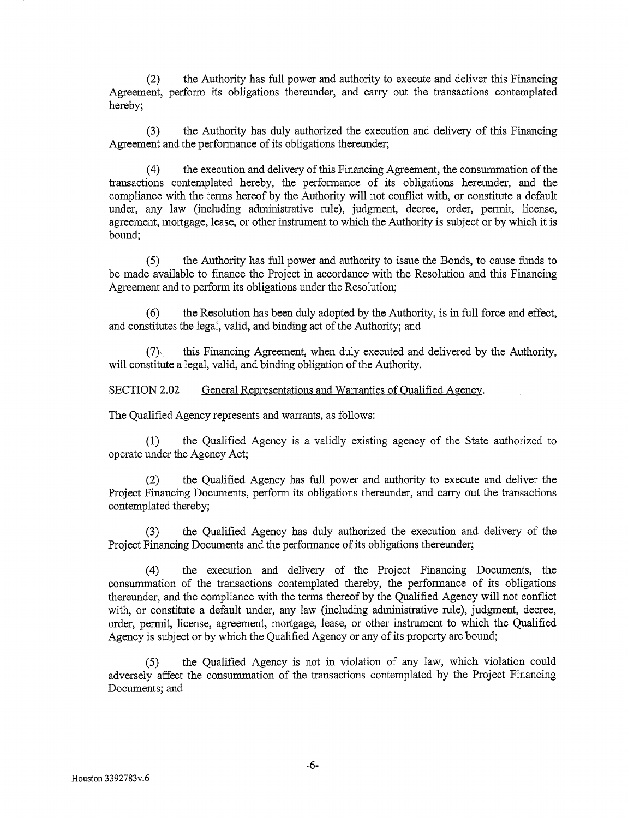(2) the Authority has full power and authority to execute and deliver this Financing Agreement, perform its obligations thereunder, and carry out the transactions contemplated hereby;

(3) the Authority has duly authorized the execution and delivery of this Financing Agreement and the performance of its obligations thereunder;

( 4) the execution and delivery of this Financing Agreement, the consummation of the transactions contemplated hereby, the performance of its obligations hereunder, and the compliance with the terms hereof by the Authority will not conflict with, or constitute a default under, any law (including administrative rule), judgment, decree, order, permit, license, agreement, mortgage, lease, or other instrument to which the Authority is subject or by which it is bound;

(5) the Authority has full power and authority to issue the Bonds, to cause funds to be made available to finance the Project in accordance with the Resolution and this Financing Agreement and to perform its obligations under the Resolution;

(6) the Resolution has been duly adopted by the Authority, is in full force and effect, and constitutes the legal, valid, and binding act of the Authority; and

(7)': this Financing Agreement, when duly executed and delivered by the Authority, will constitute a legal, valid, and binding obligation of the Authority.

SECTION 2.02 General Representations and Warranties of Qualified Agency.

The Qualified Agency represents and warrants, as follows:

(1) the Qualified Agency is a validly existing agency of the State authorized to operate under the Agency Act;

(2) the Qualified Agency has full power and authority to execute and deliver the Project Financing Documents, perform its obligations thereunder, and carry out the transactions contemplated thereby;

(3) the Qualified Agency has duly authorized the execution and delivery of the Project Financing Documents and the performance of its obligations thereunder;

(4) the execution and delivery of the Project Financing Documents, the consummation of the transactions contemplated thereby, the performance of its obligations thereunder, and the compliance with the terms thereof by the Qualified Agency will not conflict with, or constitute a default under, any law (including administrative rule), judgment, decree, order, permit, license, agreement, mortgage, lease, or other instrument to which the Qualified Agency is subject or by which the Qualified Agency or any of its property are bound;

(5) the Qualified Agency is not in violation of any law, which violation could adversely affect the consummation of the transactions contemplated by the Project Financing Documents; and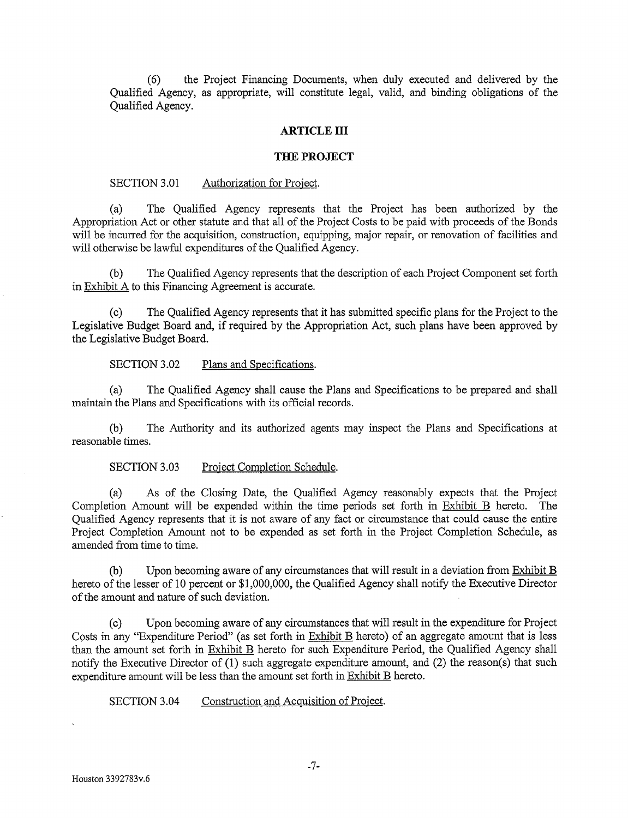(6) the Project Financing Documents, when duly executed and delivered by the Qualified Agency, as appropriate, will constitute legal, valid, and binding obligations of the Qualified Agency.

#### **ARTICLE III**

#### **THE PROJECT**

#### SECTION 3.01 Authorization for Project.

(a) The Qualified Agency represents that the Project has been authorized by the Appropriation Act or other statute and that all of the Project Costs to be paid with proceeds of the Bonds will be incurred for the acquisition, construction, equipping, major repair, or renovation of facilities and will otherwise be lawful expenditures of the Qualified Agency.

(b) The Qualified Agency represents that the description of each Project Component set forth in Exhibit A to this Financing Agreement is accurate.

(c) The Qualified Agency represents that it has submitted specific plans for the Project to the Legislative Budget Board and, if required by the Appropriation Act, such plans have been approved by the Legislative Budget Board.

## SECTION 3.02 Plans and Specifications.

(a) The Qualified Agency shall cause the Plans and Specifications to be prepared and shall maintain the Plans and Specifications with its official records.

(b) The Authority and its authorized agents may inspect the Plans and Specifications at reasonable times.

## SECTION 3.03 Project Completion Schedule.

(a) As of the Closing Date, the Qualified Agency reasonably expects that the Project Completion Amount will be expended within the time periods set forth in Exhibit B hereto. The Qualified Agency represents that it is not aware of any fact or circumstance that could cause the entire Project Completion Amount not to be expended as set forth in the Project Completion Schedule, as amended from time to time.

(b) Upon becoming aware of any circumstances that will result in a deviation from  $\frac{Exhibit B}{B}$ hereto of the lesser of 10 percent or \$1,000,000, the Qualified Agency shall notify the Executive Director of the amount and nature of such deviation.

(c) Upon becoming aware of any circumstances that will result in the expenditure for Project Costs in any "Expenditure Period" (as set forth in Exhibit B hereto) of an aggregate amount that is less than the amount set forth in Exhibit B hereto for such Expenditure Period, the Qualified Agency shall notify the Executive Director of (1) such aggregate expenditure amount, and (2) the reason(s) that such expenditure amount will be less than the amount set forth in Exhibit B hereto.

SECTION 3.04 Construction and Acquisition of Project.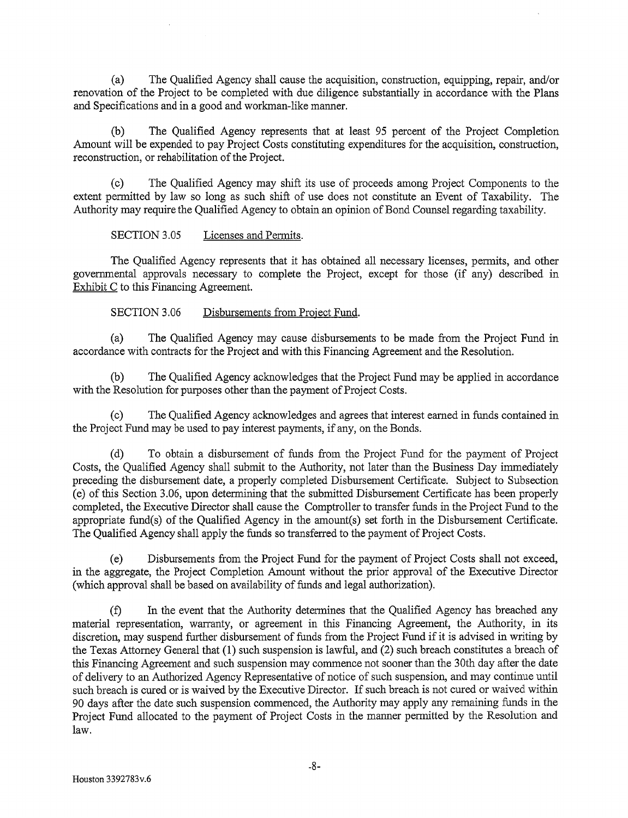(a) The Qualified Agency shall cause the acquisition, construction, equipping, repair, and/or renovation of the Project to be completed with due diligence substantially in accordance with the Plans and Specifications and in a good and workman-like manner.

(b) The Qualified Agency represents that at least 95 percent of the Project Completion Amount will be expended to pay Project Costs constituting expenditures for the acquisition, construction, reconstruction, or rehabilitation of the Project.

(c) The Qualified Agency may shift its use of proceeds among Project Components to the extent permitted by law so long as such shift of use does not constitute an Event of Taxability. The Authority may require the Qualified Agency to obtain an opinion of Bond Counsel regarding taxability.

SECTION 3.05 Licenses and Permits.

The Qualified Agency represents that it has obtained all necessary licenses, permits, and other governmental approvals necessary to complete the Project, except for those (if any) described in Exhibit C to this Financing Agreement.

SECTION 3.06 Disbursements from Project Fund.

(a) The Qualified Agency may cause disbursements to be made from the Project Fund in accordance with contracts for the Project and with this Financing Agreement and the Resolution.

(b) The Qualified Agency acknowledges that the Project Fund may be applied in accordance with the Resolution for purposes other than the payment of Project Costs.

(c) The Qualified Agency acknowledges and agrees that interest earned in funds contained in the Project Fund may be used to pay interest payments, if any, on the Bonds.

(d) To obtain a disbursement of funds from the Project Fund for the payment of Project Costs, the Qualified Agency shall submit to the Authority, not later than the Business Day immediately preceding the disbursement date, a properly completed Disbursement Certificate. Subject to Subsection (e) of this Section 3.06, upon determining that the submitted Disbursement Certificate has been properly completed, the Executive Director shall cause the Comptroller to transfer funds in the Project Fund to the appropriate fund(s) of the Qualified Agency in the amount(s) set forth in the Disbursement Certificate. The Qualified Agency shall apply the funds so transferred to the payment of Project Costs.

(e) Disbursements from the Project Fund for the payment of Project Costs shall not exceed, in the aggregate, the Project Completion Amount without the prior approval of the Executive Director (which approval shall be based on availability of funds and legal authorization).

(f) In the event that the Authority determines that the Qualified Agency has breached any material representation, warranty, or agreement in this Financing Agreement, the Authority, in its discretion, may suspend further disbursement of funds from the Project Fund if it is advised in writing by the Texas Attorney General that (1) such suspension is lawful, and (2) such breach constitutes a breach of this Financing Agreement and such suspension may commence not sooner than the 30th day after the date of delivery to an Authorized Agency Representative of notice of such suspension, and may continue until such breach is cured or is waived by the Executive Director. If such breach is not cured or waived within 90 days after the date such suspension commenced, the Authority may apply any remaining funds in the Project Fund allocated to the payment of Project Costs in the manner permitted by the Resolution and law.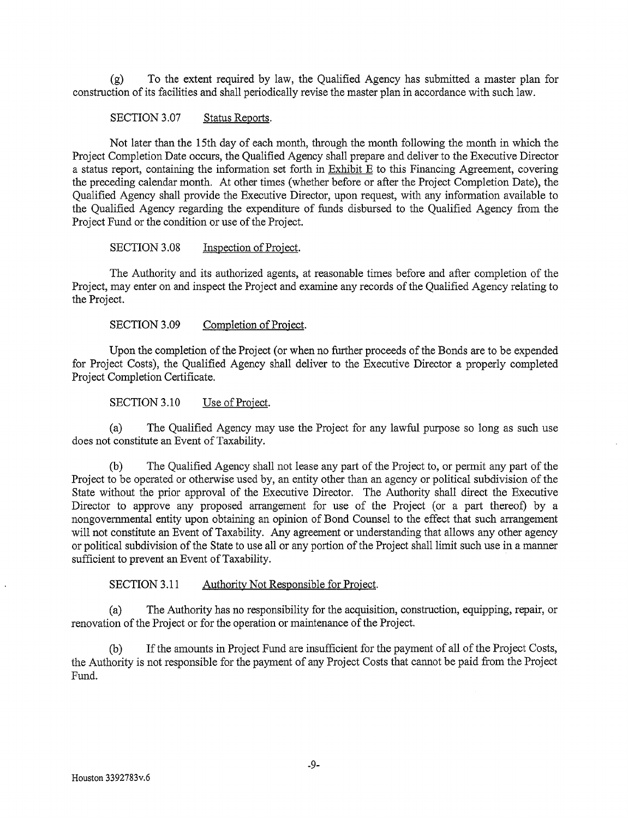(g) To the extent required by law, the Qualified Agency has submitted a master plan for construction of its facilities and shall periodically revise the master plan in accordance with such law.

# SECTION 3.07 Status Reports.

Not later than the 15th day of each month, through the month following the month in which the Project Completion Date occurs, the Qualified Agency shall prepare and deliver to the Executive Director a status report, containing the information set forth in Exhibit E to this Financing Agreement, covering the preceding calendar month. At other times (whether before or after the Project Completion Date), the Qualified Agency shall provide the Executive Director, upon request, with any information available to the Qualified Agency regarding the expenditure of funds disbursed to the Qualified Agency from the Project Fund or the condition or use of the Project.

SECTION 3.08 Inspection of Project.

The Authority and its authorized agents, at reasonable times before and after completion of the Project, may enter on and inspect the Project and examine any records of the Qualified Agency relating to the Project.

SECTION 3.09 Completion of Project.

Upon the completion of the Project (or when no further proceeds of the Bonds are to be expended for Project Costs), the Qualified Agency shall deliver to the Executive Director a properly completed Project Completion Certificate.

SECTION 3.10 Use of Project.

(a) The Qualified Agency may use the Project for any lawful purpose so long as such use does not constitute an Event of Taxability.

(b) The Qualified Agency shall not lease any part of the Project to, or permit any part of the Project to be operated or otherwise used by, an entity other than an agency or political subdivision of the State without the prior approval of the Executive Director. The Authority shall direct the Executive Director to approve any proposed arrangement for use of the Project (or a part thereof) by a nongovernmental entity upon obtaining an opinion of Bond Counsel to the effect that such arrangement will not constitute an Event of Taxability. Any agreement or understanding that allows any other agency or political subdivision of the State to use all or any portion of the Project shall limit such use in a manner sufficient to prevent an Event of Taxability.

SECTION 3.11 Authority Not Responsible for Project.

(a) The Authority has no responsibility for the acquisition, construction, equipping, repair, or renovation of the Project or for the operation or maintenance of the Project.

(b) If the amounts in Project Fund are insufficient for the payment of all of the Project Costs, the Authority is not responsible for the payment of any Project Costs that cannot be paid from the Project Fund.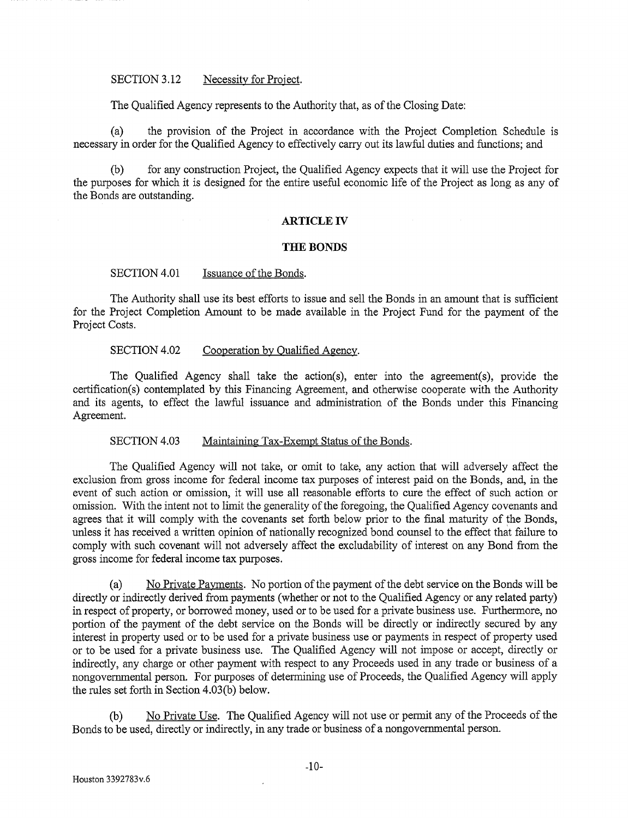#### SECTION 3.12 Necessity for Project.

The Qualified Agency represents to the Authority that, as of the Closing Date:

(a) the provision of the Project in accordance with the Project Completion Schedule is necessary in order for the Qualified Agency to effectively carry out its lawful duties and functions; and

(b) for any construction Project, the Qualified Agency expects that it will use the Project for the purposes for which it is designed for the entire useful economic life of the Project as long as any of the Bonds are outstanding.

#### **ARTICLE IV**

#### **THE BONDS**

#### SECTION 4.01 Issuance of the Bonds.

The Authority shall use its best efforts to issue and sell the Bonds in an amount that is sufficient for the Project Completion Amount to be made available in the Project Fund for the payment of the Project Costs.

## SECTION 4.02 Cooperation by Qualified Agency.

The Qualified Agency shall take the action(s), enter into the agreement(s), provide the certification(s) contemplated by this Financing Agreement, and otherwise cooperate with the Authority and its agents, to effect the lawful issuance and administration of the Bonds under this Financing Agreement.

#### SECTION 4.03 Maintaining Tax-Exempt Status of the Bonds.

The Qualified Agency will not take, or omit to take, any action that will adversely affect the exclusion from gross income for federal income tax purposes of interest paid on the Bonds, and, in the event of such action or omission, it will use all reasonable efforts to cure the effect of such action or omission. With the intent not to limit the generality of the foregoing, the Qualified Agency covenants and agrees that it will comply with the covenants set forth below prior to the final maturity of the Bonds, unless it has received a written opinion of nationally recognized bond counsel to the effect that failure to comply with such covenant will not adversely affect the excludability of interest on any Bond from the gross income for federal income tax purposes.

(a) No Private Payments. No portion of the payment of the debt service on the Bonds will be directly or indirectly derived from payments (whether or not to the Qualified Agency or any related party) in respect of property, or borrowed money, used or to be used for a private business use. Furthermore, no portion of the payment of the debt service on the Bonds will be directly or indirectly secured by any interest in property used or to be used for a private business use or payments in respect of property used or to be used for a private business use. The Qualified Agency will not impose or accept, directly or indirectly, any charge or other payment with respect to any Proceeds used in any trade or business of a nongovernmental person. For purposes of determining use of Proceeds, the Qualified Agency will apply the rules set forth in Section 4.03(b) below.

(b) No Private Use. The Qualified Agency will not use or permit any of the Proceeds of the Bonds to be used, directly or indirectly, in any trade or business of a nongovernmental person.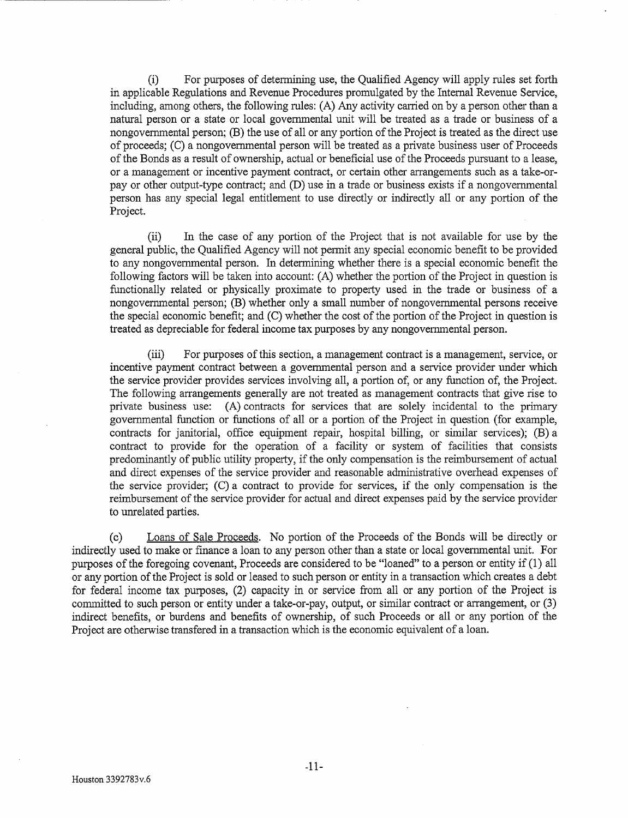(i) For purposes of determining use, the Qualified Agency will apply rules set forth in applicable Regulations and Revenue Procedures promulgated by the Internal Revenue Service, including, among others, the following rules: (A) Any activity carried on by a person other than a natural person or a state or local governmental unit will be treated as a trade or business of a nongovernmental person; (B) the use of all or any portion of the Project is treated as the direct use of proceeds; (C) a nongovernmental person will be treated as a private business user of Proceeds of the Bonds as a result of ownership, actual or beneficial use of the Proceeds pursuant to a lease, or a management or incentive payment contract, or certain other arrangements such as a take-orpay or other output-type contract; and (D) use in a trade or business exists if a nongovernmental person has any special legal entitlement to use directly or indirectly all or any portion of the Project.

(ii) In the case of any portion of the Project that is not available for use by the general public, the Qualified Agency will not permit any special economic benefit to be provided to any nongovernmental person. In determining whether there is a special economic benefit the following factors will be taken into account: (A) whether the portion of the Project in question is functionally related or physically proximate to property used in the trade or business of a nongovernmental person; (B) whether only a small number of nongovernmental persons receive the special economic benefit; and (C) whether the cost of the portion of the Project in question is treated as depreciable for federal income tax purposes by any nongovernmental person.

(iii) For purposes of this section, a management contract is a management, service, or incentive payment contract between a governmental person and a service provider under which the service provider provides services involving all, a portion of, or any function of, the Project. The following arrangements generally are not treated as management contracts that give rise to private business use: (A) contracts for services that are solely incidental to the primary governmental function or functions of all or a portion of the Project in question (for example, contracts for janitorial, office equipment repair, hospital billing, or similar services);  $(\overline{B})$  a contract to provide for the operation of a facility or system of facilities that consists predominantly of public utility property, if the only compensation is the reimbursement of actual and direct expenses of the service provider and reasonable administrative overhead expenses of the service provider; (C) a contract to provide for services, if the only compensation is the reimbursement of the service provider for actual and direct expenses paid by the service provider to unrelated parties.

(c) Loans of Sale Proceeds. No portion of the Proceeds of the Bonds will be directly or indirectly used to make or finance a loan to any person other than a state or local governmental unit. For purposes of the foregoing covenant, Proceeds are considered to be "loaned" to a person or entity if (1) all or any portion of the Project is sold or leased to such person or entity in a transaction which creates a debt for federal income tax purposes, (2) capacity in or service from all or any portion of the Project is committed to such person or entity under a take-or-pay, output, or similar contract or arrangement, or (3) indirect benefits, or burdens and benefits of ownership, of such Proceeds or all or any portion of the Project are otherwise transfered in a transaction which is the economic equivalent of a loan.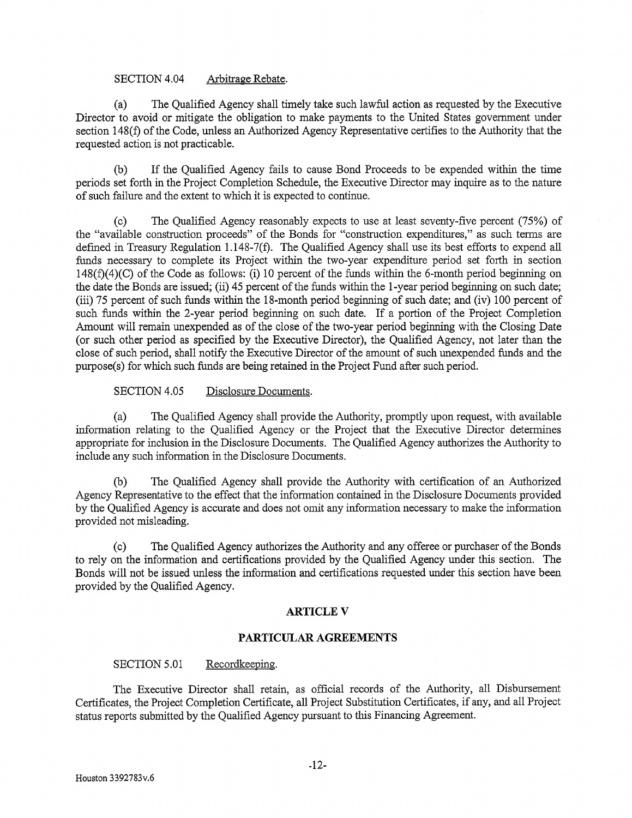# SECTION 4.04 Arbitrage Rebate.

(a) The Qualified Agency shall timely take such lawful action as requested by the Executive Director to avoid or mitigate the obligation to make payments to the United States government under section 148(f) of the Code, unless an Authorized Agency Representative certifies to the Authority that the requested action is not practicable.

(b) If the Qualified Agency fails to cause Bond Proceeds to be expended within the time periods set forth in the Project Completion Schedule, the Executive Director may inquire as to the nature of such failure and the extent to which it is expected to continue.

(c) The Qualified Agency reasonably expects to use at least seventy-five percent (75%) of the "available construction proceeds" of the Bonds for "construction expenditures," as such terms are defined in Treasury Regulation 1.148-7(f). The Qualified Agency shall use its best efforts to expend all funds necessary to complete its Project within the two-year expenditure period set forth in section 148(f)(4)(C) of the Code as follows: (i) 10 percent of the funds within the 6-month period beginning on the date the Bonds are issued; (ii) 45 percent of the funds within the 1-year period beginning on such date; (iii) 75 percent of such funds within the 18-month period beginning of such date; and (iv) 100 percent of such funds within the 2-year period beginning on such date. If a portion of the Project Completion Amount will remain unexpended as of the close of the two-year period beginning with the Closing Date (or such other period as specified by the Executive Director), the Qualified Agency, not later than the close of such period, shall notify the Executive Director of the amount of such unexpended funds and the purpose( s) for which such funds are being retained in the Project Fund after such period.

SECTION 4.05 Disclosure Documents.

(a) The Qualified Agency shall provide the Authority, promptly upon request, with available information relating to the Qualified Agency or the Project that the Executive Director determines appropriate for inclusion in the Disclosure Documents. The Qualified Agency authorizes the Authority to include any such information in the Disclosure Documents.

(b) The Qualified Agency shall provide the Authority with certification of an Authorized Agency Representative to the effect that the information contained in the Disclosure Documents provided by the Qualified Agency is accurate and does not omit any information necessary to make the information provided not misleading.

(c) The Qualified Agency authorizes the Authority and any offeree or purchaser of the Bonds to rely on the information and certifications provided by the Qualified Agency under this section. The Bonds will not be issued unless the information and certifications requested under this section have been provided by the Qualified Agency.

# **ARTICLEV**

#### **PARTICULAR AGREEMENTS**

# SECTION 5.01 Recordkeeping.

The Executive Director shall retain, as official records of the Authority, all Disbursement Certificates, the Project Completion Certificate, all Project Substitution Certificates, if any, and all Project status reports submitted by the Qualified Agency pursuant to this Financing Agreement.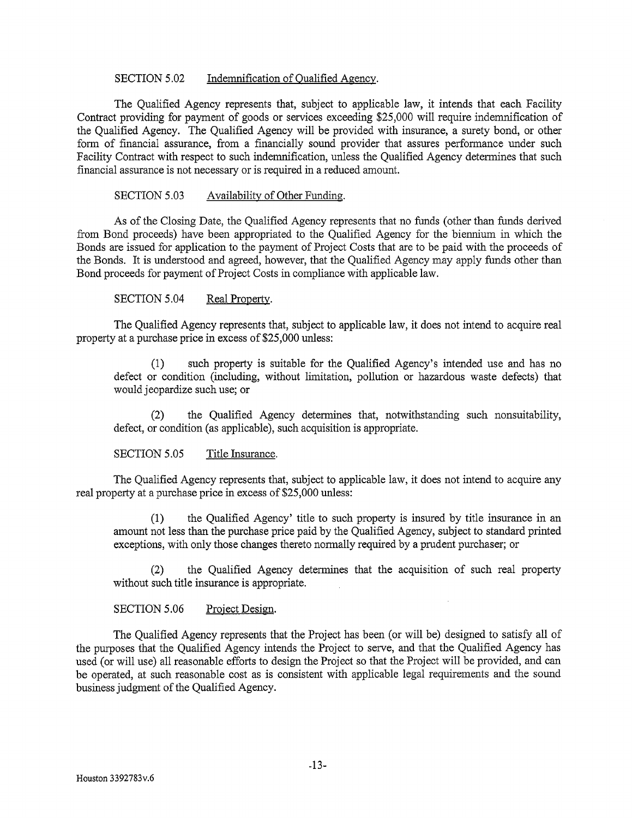# SECTION 5.02 Indemnification of Qualified Agency.

The Qualified Agency represents that, subject to applicable law, it intends that each Facility Contract providing for payment of goods or services exceeding \$25,000 will require indemnification of the Qualified Agency. The Qualified Agency will be provided with insurance, a surety bond, or other form of financial assurance, from a financially sound provider that assures performance under such Facility Contract with respect to such indemnification, unless the Qualified Agency determines that such financial assurance is not necessary or is required in a reduced amount.

# SECTION 5.03 Availability of Other Funding.

As of the Closing Date, the Qualified Agency represents that no funds (other than funds derived from Bond proceeds) have been appropriated to the Qualified Agency for the biennium in which the Bonds are issued for application to the payment of Project Costs that are to be paid with the proceeds of the Bonds. It is understood and agreed, however, that the Qualified Agency may apply funds other than Bond proceeds for payment of Project Costs in compliance with applicable law.

SECTION 5.04 Real Property.

The Qualified Agency represents that, subject to applicable law, it does not intend to acquire real property at a purchase price in excess of \$25,000 unless:

(1) such property is suitable for the Qualified Agency's intended use and has no defect or condition (including, without limitation, pollution or hazardous waste defects) that would jeopardize such use; or

(2) the Qualified Agency determines that, notwithstanding such nonsuitability, defect, or condition (as applicable), such acquisition is appropriate.

SECTION 5.05 Title Insurance.

The Qualified Agency represents that, subject to applicable law, it does not intend to acquire any real property at a purchase price in excess of \$25,000 unless:

(1) the Qualified Agency' title to such property is insured by title insurance in an amount not less than the purchase price paid by the Qualified Agency, subject to standard printed exceptions, with only those changes thereto normally required by a prudent purchaser; or

(2) the Qualified Agency determines that the acquisition of such real property without such title insurance is appropriate.

SECTION 5.06 Project Design.

The Qualified Agency represents that the Project has been (or will be) designed to satisfy all of the purposes that the Qualified Agency intends the Project to serve, and that the Qualified Agency has used (or will use) all reasonable efforts to design the Project so that the Project will be provided, and can be operated, at such reasonable cost as is consistent with applicable legal requirements and the sound business judgment of the Qualified Agency.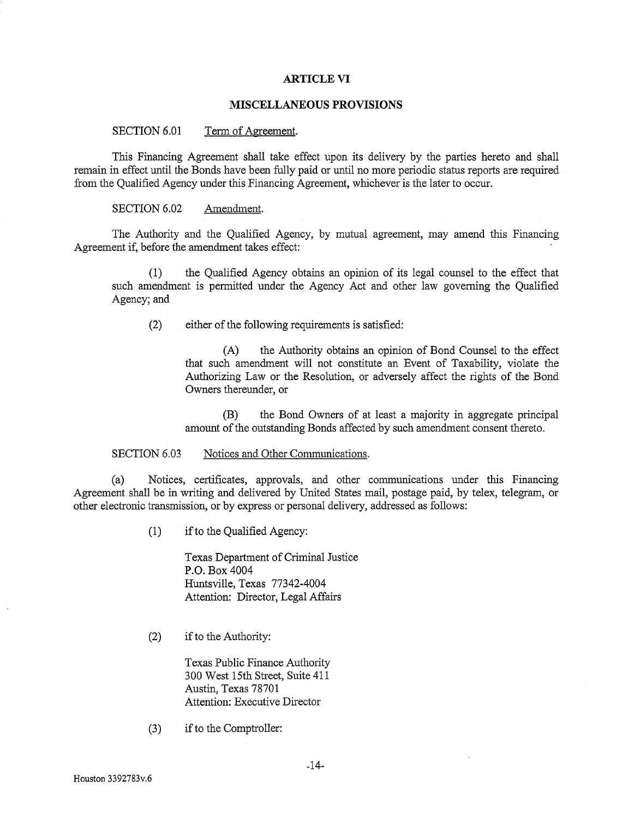#### **ARTICLE VI**

#### **MISCELLANEOUS PROVISIONS**

#### SECTION 6.01 Term of Agreement.

This Financing Agreement shall take effect upon its delivery by the parties hereto and shall remain in effect until the Bonds have been fully paid or until no more periodic status reports are required from the Qualified Agency under this Financing Agreement, whichever is the later to occur.

## SECTION 6.02 Amendment.

The Authority and the Qualified Agency, by mutual agreement, may amend this Financing Agreement if, before the amendment takes effect:

(1) the Qualified Agency obtains an opinion of its legal counsel to the effect that such amendment is permitted under the Agency Act and other law governing the Qualified Agency; and

(2) either of the following requirements is satisfied:

(A) the Authority obtains an opinion of Bond Counsel to the effect that such amendment will not constitute an Event of Taxability, violate the Authorizing Law or the Resolution, or adversely affect the rights of the Bond Owners thereunder, or

(B) the Bond Owners of at least a majority in aggregate principal amount of the outstanding Bonds affected by such amendment consent thereto.

#### SECTION 6.03 Notices and Other Communications.

(a) Notices, certificates, approvals, and other communications under this Financing Agreement shall be in writing and delivered by United States mail, postage paid, by telex, telegram, or other electronic transmission, or by express or personal delivery, addressed as follows:

(1) if to the Qualified Agency:

Texas Department of Criminal Justice P.O. Box 4004 Huntsville, Texas 77342-4004 Attention: Director, Legal Affairs

(2) if to the Authority:

Texas Public Finance Authority 300 West 15th Street, Suite 411 Austin, Texas 78701 Attention: Executive Director

(3) if to the Comptroller: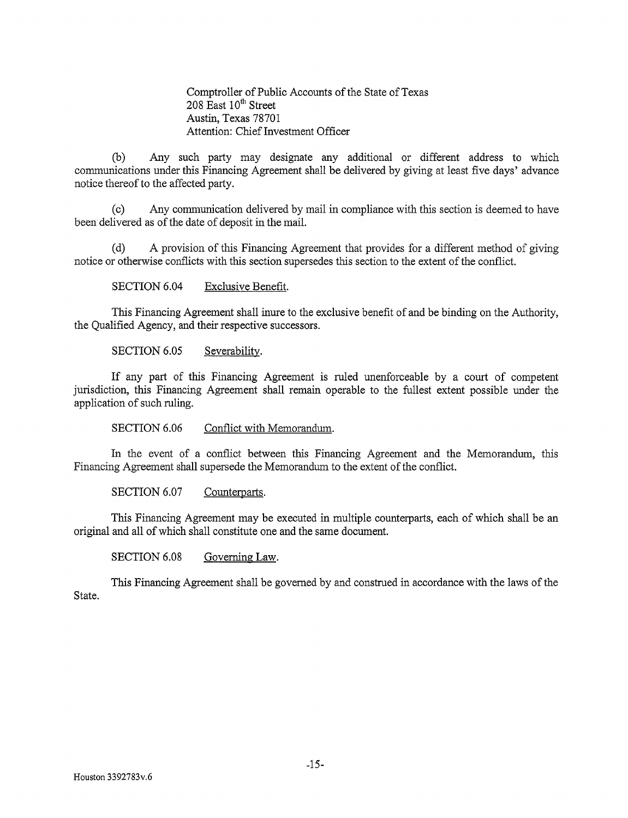Comptroller of Public Accounts of the State of Texas  $208$  East  $10^{th}$  Street Austin, Texas 78701 Attention: Chief Investment Officer

(b) Any such party may designate any additional or different address to which communications under this Financing Agreement shall be delivered by giving at least five days' advance notice thereof to the affected party.

(c) Any communication delivered by mail in compliance with this section is deemed to have been delivered as of the date of deposit in the mail.

(d) A provision of this Financing Agreement that provides for a different method of giving notice or otherwise conflicts with this section supersedes this section to the extent of the conflict.

SECTION 6.04 Exclusive Benefit.

This Financing Agreement shall inure to the exclusive benefit of and be binding on the Authority, the Qualified Agency, and their respective successors.

SECTION 6.05 Severability.

If any part of this Financing Agreement is ruled unenforceable by a court of competent jurisdiction, this Financing Agreement shall remain operable to the fullest extent possible under the application of such ruling.

SECTION 6.06 Conflict with Memorandum.

In the event of a conflict between this Financing Agreement and the Memorandum, this Financing Agreement shall supersede the Memorandum to the extent of the conflict.

SECTION 6.07 Counterparts.

This Financing Agreement may be executed in multiple counterparts, each of which shall be an original and all of which shall constitute one and the same document.

SECTION 6.08 Governing Law.

This Financing Agreement shall be governed by and construed in accordance with the laws of the State.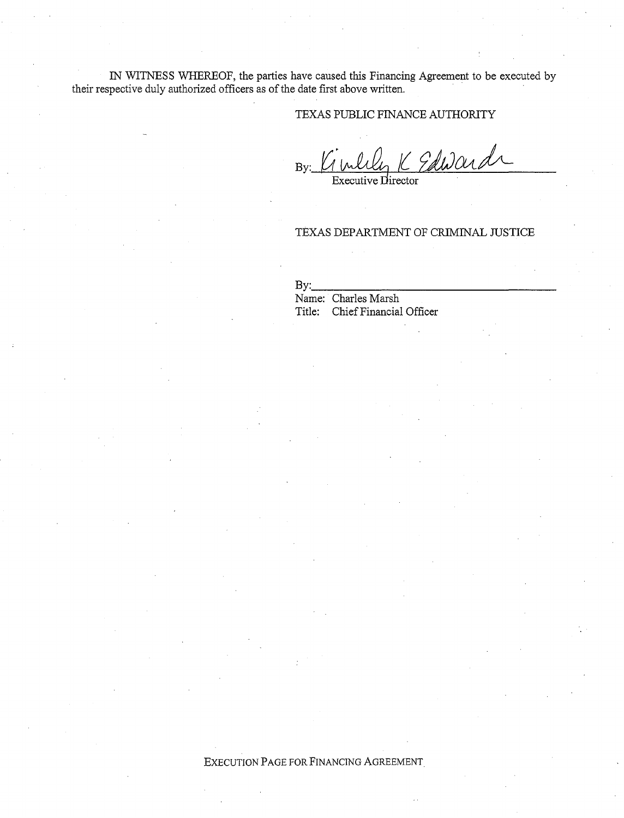IN WITNESS WHEREOF, the parties have caused this Financing Agreement to be executed by their respective duly authorized officers as of the date first above written.

# TEXAS PUBLIC FINANCE AUTHORITY

4K Edward  $By:$ 

Executive Director

## TEXAS DEPARTMENT OF CRIMINAL JUSTICE

 $Bv:$ Name: Charles Marsh Title: Chief Financial Officer

## EXECUTION PAGE FOR FINANCING AGREEMENT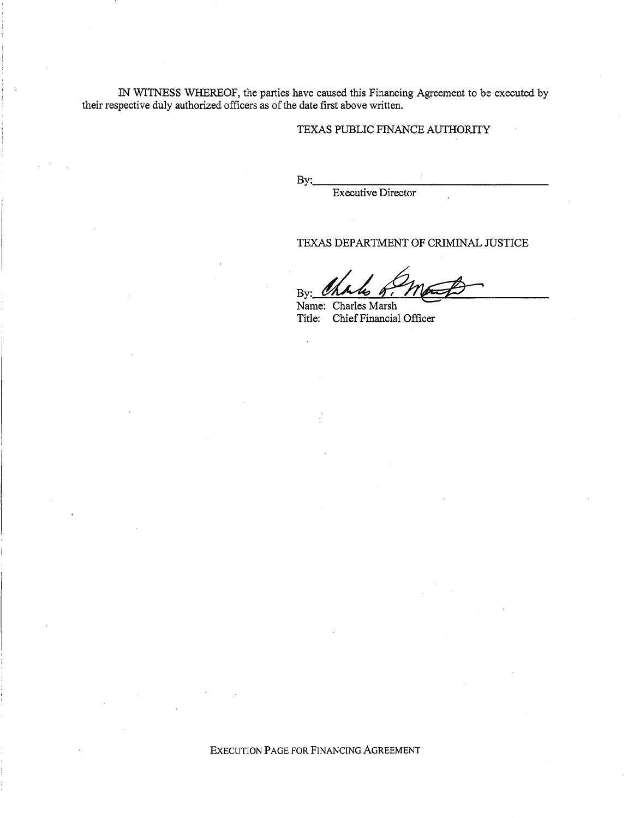IN WITNESS WHEREOF, the parties have caused this Financing Agreement to be executed by their respective duly authorized officers as of the date first above written.

# TEXAS PUBLIC FINANCE AUTHORITY

 $Bv:$ 

Executive Director

# TEXAS DEPARTMENT OF CRIMINAL JUSTICE

By: Charles of mast

Name: Charles Marsh Title: Chief Financial Officer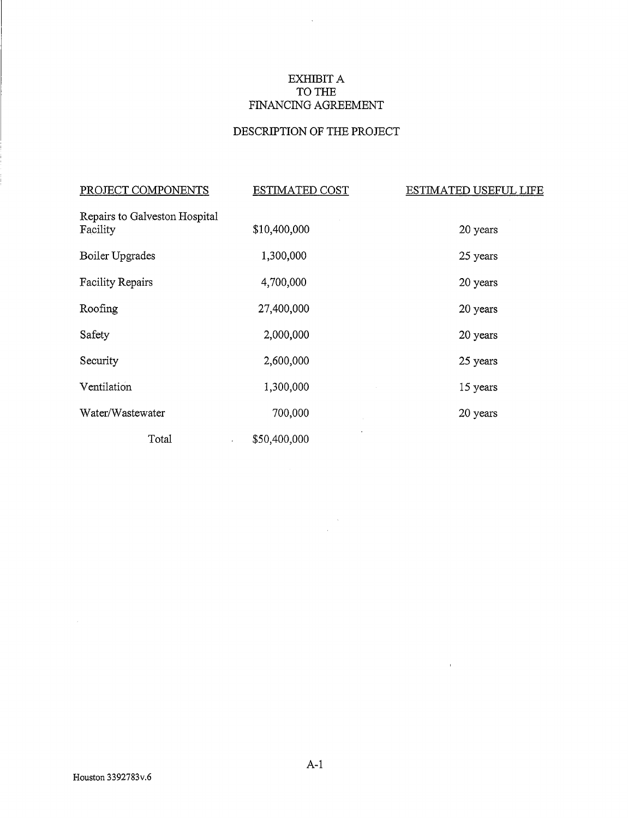# EXHIBIT A TO THE FINANCING AGREEMENT

 $\sim 10^7$ 

# DESCRIPTION OF THE PROJECT

| PROJECT COMPONENTS                        | <b>ESTIMATED COST</b>   | <u>ESTIMATED USEFUL LIFE</u> |
|-------------------------------------------|-------------------------|------------------------------|
| Repairs to Galveston Hospital<br>Facility | \$10,400,000            | 20 years                     |
| Boiler Upgrades                           | 1,300,000               | 25 years                     |
| <b>Facility Repairs</b>                   | 4,700,000               | 20 years                     |
| Roofing                                   | 27,400,000              | 20 years                     |
| Safety                                    | 2,000,000               | 20 years                     |
| Security                                  | 2,600,000               | 25 years                     |
| Ventilation                               | 1,300,000               | 15 years                     |
| Water/Wastewater                          | 700,000                 | 20 years                     |
| Total                                     | \$50,400,000<br>$\cdot$ |                              |

 $\frac{1}{2} \sum_{i=1}^{n} \frac{1}{2} \sum_{j=1}^{n} \frac{1}{2} \sum_{j=1}^{n} \frac{1}{2} \sum_{j=1}^{n} \frac{1}{2} \sum_{j=1}^{n} \frac{1}{2} \sum_{j=1}^{n} \frac{1}{2} \sum_{j=1}^{n} \frac{1}{2} \sum_{j=1}^{n} \frac{1}{2} \sum_{j=1}^{n} \frac{1}{2} \sum_{j=1}^{n} \frac{1}{2} \sum_{j=1}^{n} \frac{1}{2} \sum_{j=1}^{n} \frac{1}{2} \sum_{j=1}^{n$ 

 $\sim 10^{-11}$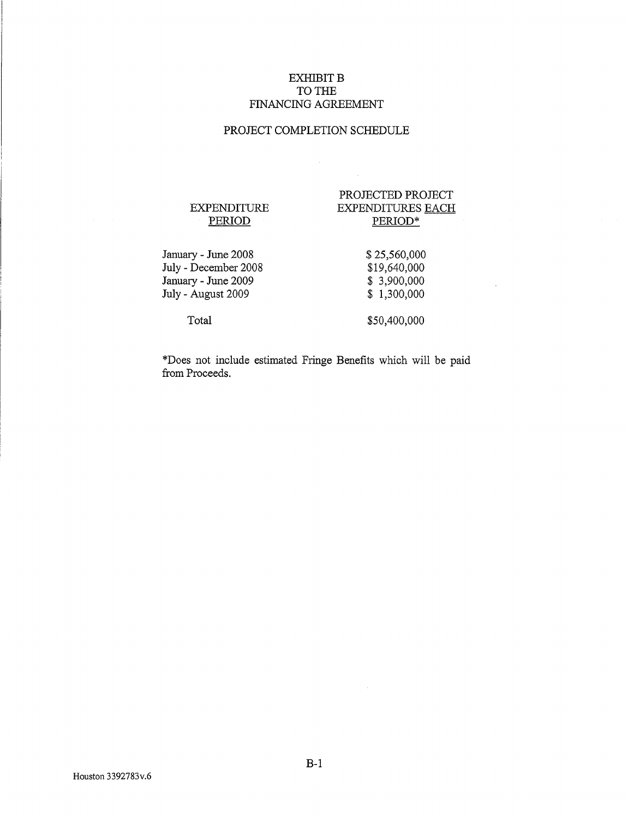# EXHIBIT **B** TO THE FINANCING AGREEMENT

# PROJECT COMPLETION SCHEDULE

 $\mathcal{A}^{\pm}$ 

 $\mathcal{L}$ 

## EXPENDITURE PERIOD

# PROJECTED PROJECT EXPENDITURES EACH PERIOD\*

January- June 2008 July - December 2008 January - June 2009 July - August 2009

\$ 25,560,000 \$19,640,000 \$ 3,900,000 \$ 1,300,000

Total

\$50,400,000

\*Does not include estimated Fringe Benefits which will be paid from Proceeds.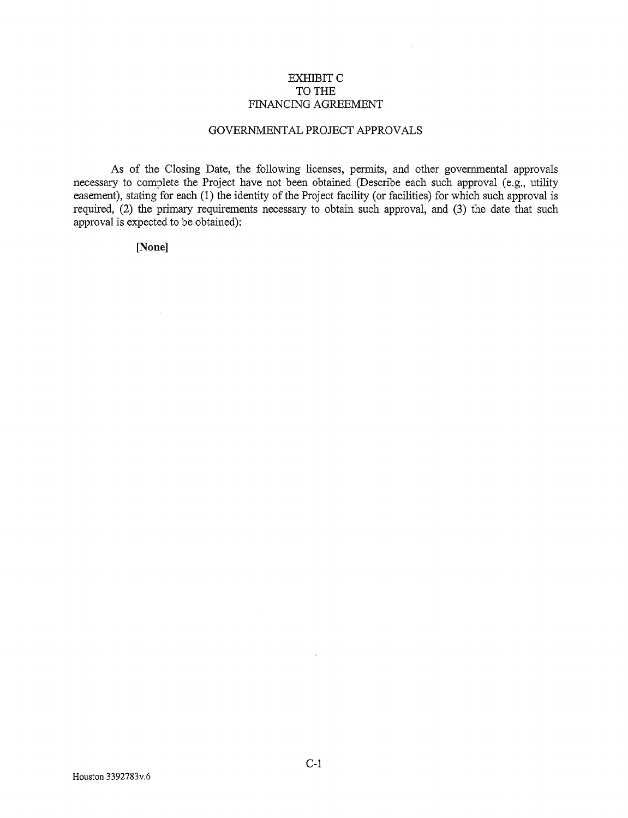# EXHIBIT C TO THE FINANCING AGREEMENT

# GOVERNMENTAL PROJECT APPROVALS

As of the Closing Date, the following licenses, permits, and other governmental approvals necessary to complete the Project have not been obtained (Describe each such approval (e.g., utility easement), stating for each (1) the identity of the Project facility (or facilities) for which such approval is required, (2) the primary requirements necessary to obtain such approval, and (3) the date that such approval is expected to be obtained):

**[None]** 

 $\mathcal{L}$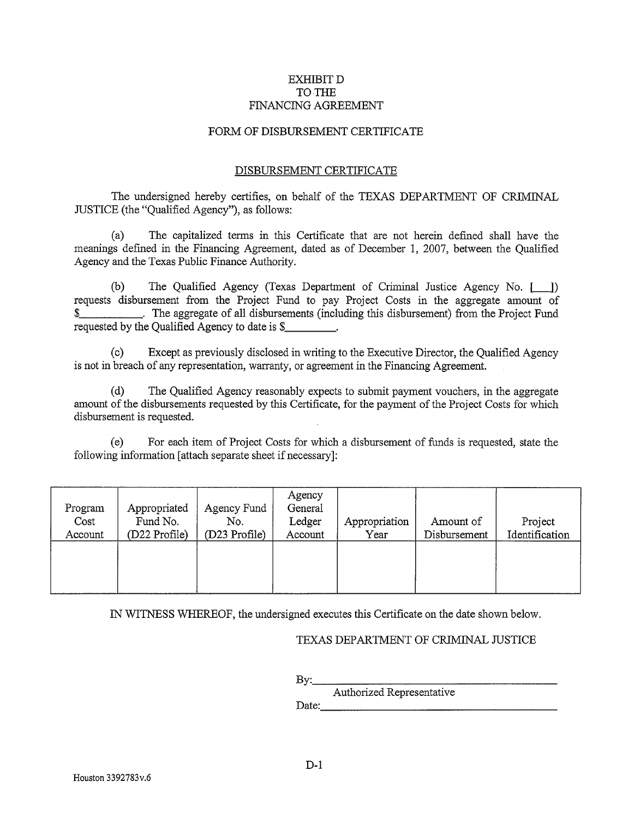# EXHIBIT D TO THE FINANCING AGREEMENT

## FORM OF DISBURSEMENT CERTIFICATE

## DISBURSEMENT CERTIFICATE

The undersigned hereby certifies, on behalf of the TEXAS DEPARTMENT OF CRIMINAL JUSTICE (the "Qualified Agency"), as follows:

(a) The capitalized terms in this Certificate that are not herein defmed shall have the meanings defmed in the Financing Agreement, dated as of December 1, 2007, between the Qualified Agency and the Texas Public Finance Authority.

(b) The Qualified Agency (Texas Department of Criminal Justice Agency No. [.\_J) requests disbursement from the Project Fund to pay Project Costs in the aggregate amount of \$\_\_\_\_\_\_\_\_\_\_\_\_\_\_. The aggregate of all disbursements (including this disbursement) from the Project Fund requested by the Qualified Agency to date is \$\_\_\_\_\_\_\_\_\_.

(c) Except as previously disclosed in writing to the Executive Director, the Qualified Agency is not in breach of any representation, warranty, or agreement in the Financing Agreement.

(d) The Qualified Agency reasonably expects to submit payment vouchers, in the aggregate amount of the disbursements requested by this Certificate, for the payment of the Project Costs for which disbursement is requested.

(e) For each item of Project Costs for which a disbursement of funds is requested, state the following information [attach separate sheet if necessary]:

| Program<br>Cost<br>Account | Appropriated<br>Fund No.<br>(D22 Profile) | Agency Fund<br>No.<br>(D23 Profile) | Agency<br>General<br>Ledger<br>Account | Appropriation<br>Year | Amount of<br>Disbursement | Project<br>Identification |
|----------------------------|-------------------------------------------|-------------------------------------|----------------------------------------|-----------------------|---------------------------|---------------------------|
|                            |                                           |                                     |                                        |                       |                           |                           |

IN WITNESS WHEREOF, the undersigned executes this Certificate on the date shown below.

## TEXAS DEPARTMENT OF CRIMINAL JUSTICE

| ---<br>₽ | --- |  |
|----------|-----|--|

Authorized Representative Date:. \_\_\_\_\_\_\_\_\_\_\_\_\_\_\_\_\_ \_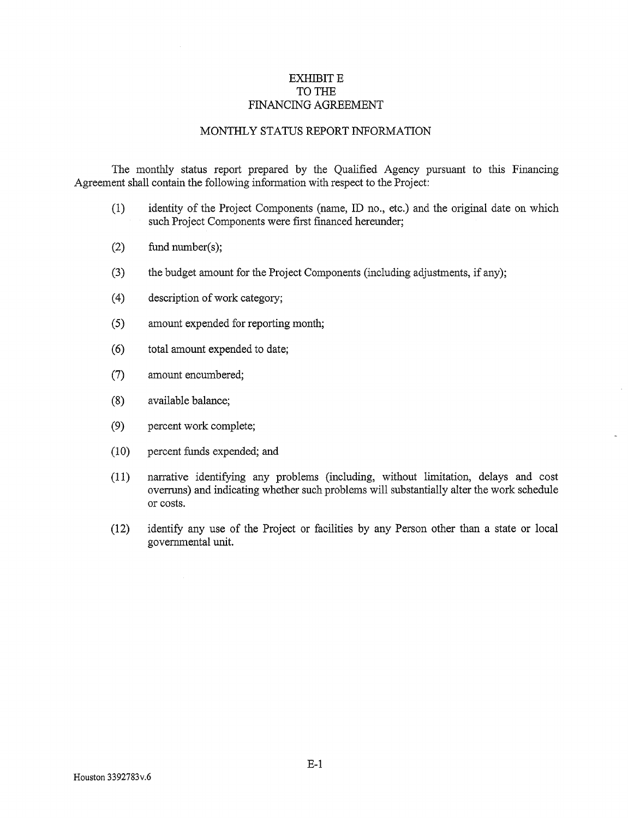# EXHIBIT E TO THE FINANCING AGREEMENT

## MONTHLY STATUS REPORT INFORMATION

The monthly status report prepared by the Qualified Agency pursuant to this Financing Agreement shall contain the following information with respect to the Project:

- (1) identity of the Project Components (name, ID no., etc.) and the original date on which such Project Components were first financed hereunder;
- (2) fund number(s);
- (3) the budget amount for the Project Components (including adjustments, if any);
- (4) description ofwork category;
- (5) amount expended for reporting month;
- ( 6) total amount expended to date;
- (7) amount encumbered;
- (8) available balance;
- (9) percent work complete;
- (10) percent funds expended; and
- (11) narrative identifying any problems (including, without limitation, delays and cost overruns) and indicating whether such problems will substantially alter the work schedule or costs.
- (12) identify any use of the Project or facilities by any Person other than a state or local governmental unit.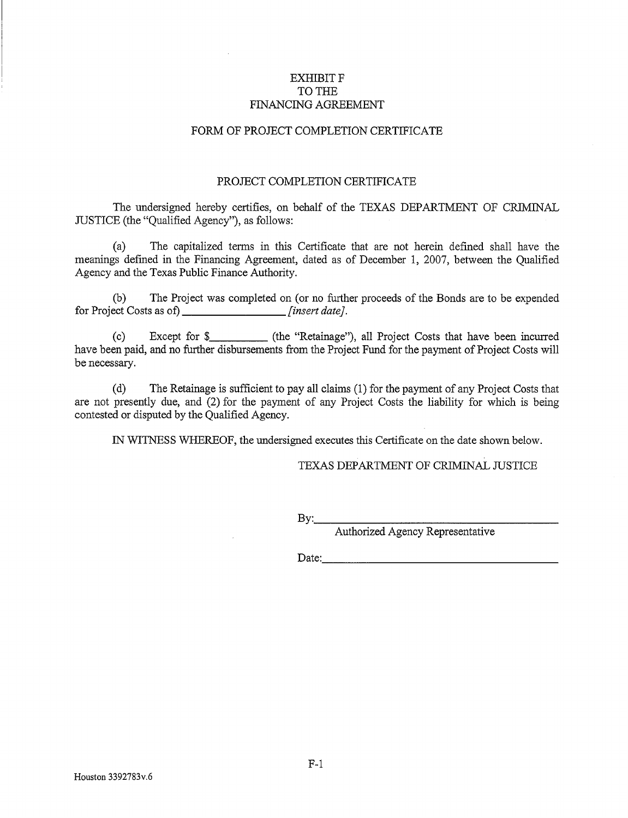# EXHIBIT F TO THE FINANCING AGREEMENT

## FORM OF PROJECT COMPLETION CERTIFICATE

# PROJECT COMPLETION CERTIFICATE

The undersigned hereby certifies, on behalf of the TEXAS DEPARTMENT OF CRIMINAL JUSTICE (the "Qualified Agency"), as follows:

(a) The capitalized terms in this Certificate that are not herein defined shall have the meanings defmed in the Financing Agreement, dated as of December 1, 2007, between the Qualified Agency and the Texas Public Finance Authority.

(b) The Project was completed on (or no further proceeds of the Bonds are to be expended for Project Costs as of) *[insert date].* 

(c) Except for \$ (the "Retainage"), all Project Costs that have been incurred have been paid, and no further disbursements from the Project Fund for the payment of Project Costs will be necessary.

(d) The Retainage is sufficient to pay all claims (1) for the payment of any Project Costs that are not presently due, and (2) for the payment of any Project Costs the liability for which is being contested or disputed by the Qualified Agency.

IN WITNESS WHEREOF, the undersigned executes this Certificate on the date shown below.

# TEXAS DEPARTMENT OF CRIMINAL JUSTICE

By: \_\_\_\_\_\_\_\_\_\_\_\_\_\_\_\_ \_

Authorized Agency Representative

Date: